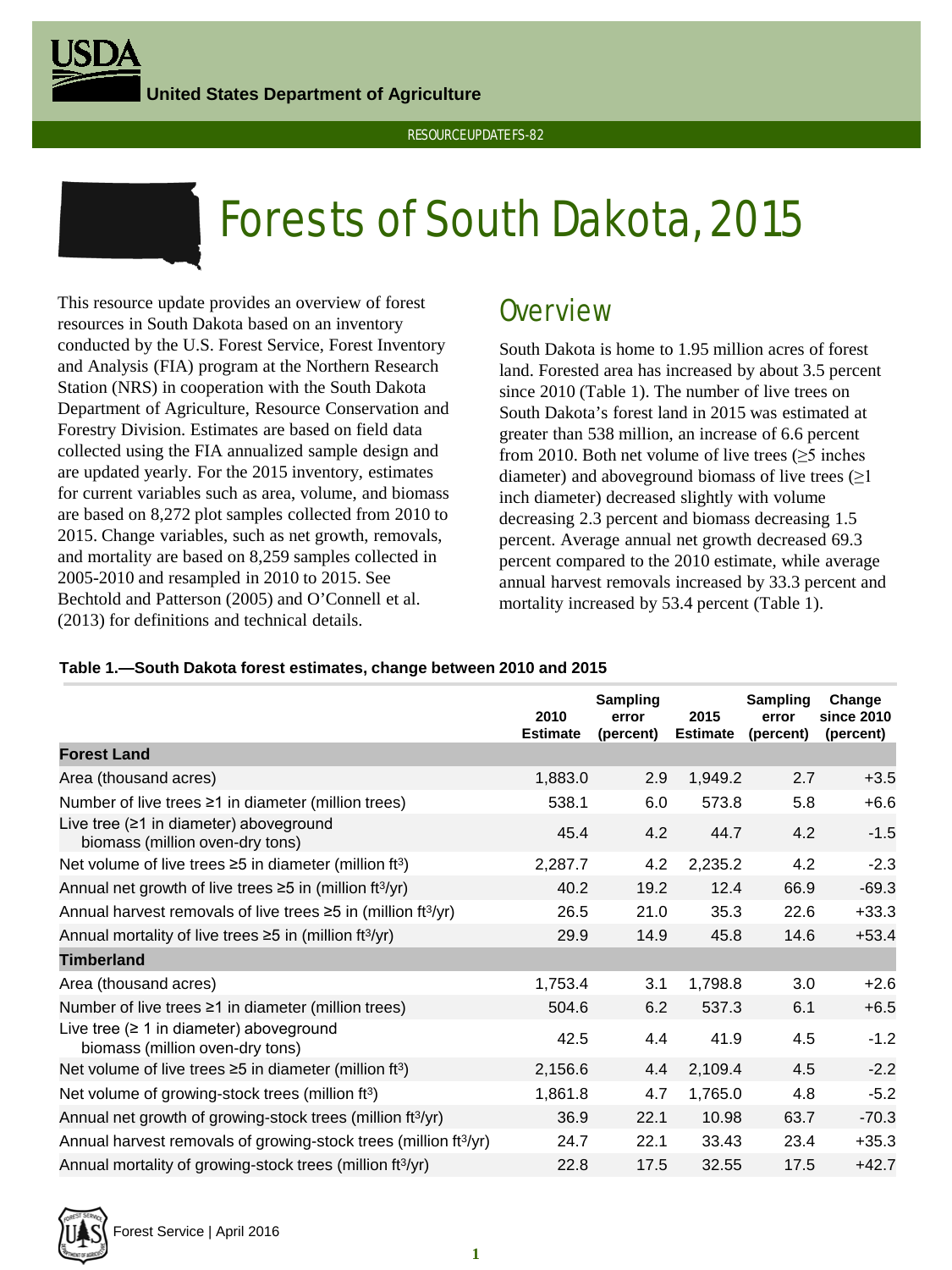**United States Department of Agriculture**





# Forests of South Dakota, 2015

This resource update provides an overview of forest resources in South Dakota based on an inventory conducted by the U.S. Forest Service, Forest Inventory and Analysis (FIA) program at the Northern Research Station (NRS) in cooperation with the South Dakota Department of Agriculture, Resource Conservation and Forestry Division. Estimates are based on field data collected using the FIA annualized sample design and are updated yearly. For the 2015 inventory, estimates for current variables such as area, volume, and biomass are based on 8,272 plot samples collected from 2010 to 2015. Change variables, such as net growth, removals, and mortality are based on 8,259 samples collected in 2005-2010 and resampled in 2010 to 2015. See Bechtold and Patterson (2005) and O'Connell et al. (2013) for definitions and technical details.

## **Overview**

South Dakota is home to 1.95 million acres of forest land. Forested area has increased by about 3.5 percent since 2010 (Table 1). The number of live trees on South Dakota's forest land in 2015 was estimated at greater than 538 million, an increase of 6.6 percent from 2010. Both net volume of live trees  $(≥5$  inches diameter) and aboveground biomass of live trees  $(\geq 1)$ inch diameter) decreased slightly with volume decreasing 2.3 percent and biomass decreasing 1.5 percent. Average annual net growth decreased 69.3 percent compared to the 2010 estimate, while average annual harvest removals increased by 33.3 percent and mortality increased by 53.4 percent (Table 1).

#### **Table 1.—South Dakota forest estimates, change between 2010 and 2015**

|                                                                                  | 2010<br><b>Estimate</b> | Sampling<br>error<br>(percent) | 2015<br><b>Estimate</b> | Sampling<br>error<br>(percent) | Change<br>since 2010<br>(percent) |
|----------------------------------------------------------------------------------|-------------------------|--------------------------------|-------------------------|--------------------------------|-----------------------------------|
| <b>Forest Land</b>                                                               |                         |                                |                         |                                |                                   |
| Area (thousand acres)                                                            | 1,883.0                 | 2.9                            | 1,949.2                 | 2.7                            | $+3.5$                            |
| Number of live trees $\geq 1$ in diameter (million trees)                        | 538.1                   | 6.0                            | 573.8                   | 5.8                            | $+6.6$                            |
| Live tree $(≥1$ in diameter) aboveground<br>biomass (million oven-dry tons)      | 45.4                    | 4.2                            | 44.7                    | 4.2                            | $-1.5$                            |
| Net volume of live trees $\geq$ 5 in diameter (million ft <sup>3</sup> )         | 2,287.7                 | 4.2                            | 2,235.2                 | 4.2                            | $-2.3$                            |
| Annual net growth of live trees $\geq$ 5 in (million ft $\frac{3}{yr}$ )         | 40.2                    | 19.2                           | 12.4                    | 66.9                           | $-69.3$                           |
| Annual harvest removals of live trees $\geq$ 5 in (million ft <sup>3</sup> /yr)  | 26.5                    | 21.0                           | 35.3                    | 22.6                           | $+33.3$                           |
| Annual mortality of live trees $\geq 5$ in (million ft <sup>3</sup> /yr)         | 29.9                    | 14.9                           | 45.8                    | 14.6                           | $+53.4$                           |
| <b>Timberland</b>                                                                |                         |                                |                         |                                |                                   |
| Area (thousand acres)                                                            | 1,753.4                 | 3.1                            | 1,798.8                 | 3.0                            | $+2.6$                            |
| Number of live trees $\geq 1$ in diameter (million trees)                        | 504.6                   | 6.2                            | 537.3                   | 6.1                            | $+6.5$                            |
| Live tree ( $\geq 1$ in diameter) aboveground<br>biomass (million oven-dry tons) | 42.5                    | 4.4                            | 41.9                    | 4.5                            | $-1.2$                            |
| Net volume of live trees $\geq$ 5 in diameter (million ft <sup>3</sup> )         | 2,156.6                 | 4.4                            | 2,109.4                 | 4.5                            | $-2.2$                            |
| Net volume of growing-stock trees (million ft <sup>3</sup> )                     | 1,861.8                 | 4.7                            | 1,765.0                 | 4.8                            | $-5.2$                            |
| Annual net growth of growing-stock trees (million ft <sup>3</sup> /yr)           | 36.9                    | 22.1                           | 10.98                   | 63.7                           | $-70.3$                           |
| Annual harvest removals of growing-stock trees (million ft <sup>3</sup> /yr)     | 24.7                    | 22.1                           | 33.43                   | 23.4                           | $+35.3$                           |
| Annual mortality of growing-stock trees (million ft <sup>3/</sup> yr)            | 22.8                    | 17.5                           | 32.55                   | 17.5                           | $+42.7$                           |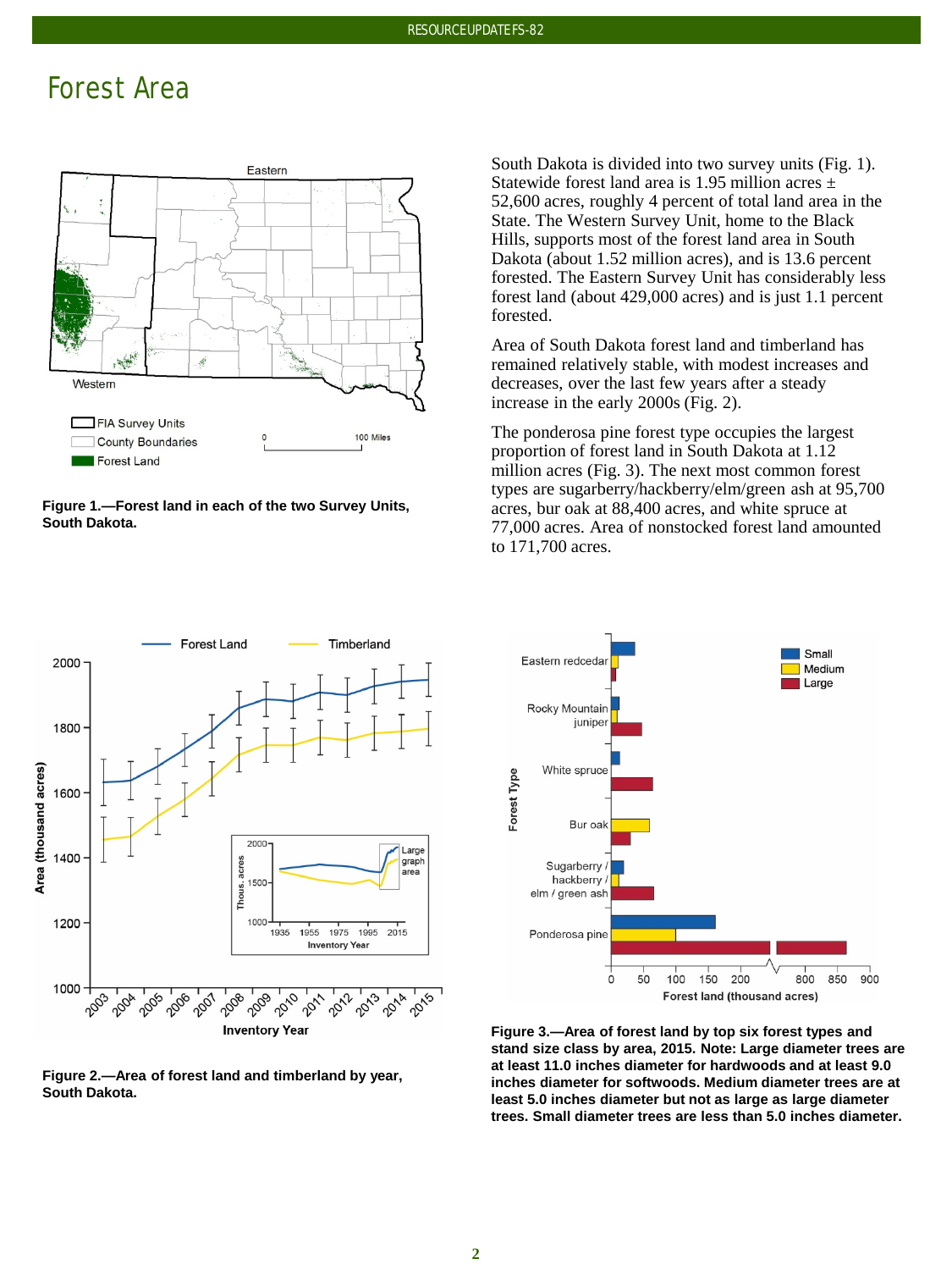### Forest Area



**Figure 1.—Forest land in each of the two Survey Units, South Dakota.**

South Dakota is divided into two survey units (Fig. 1). Statewide forest land area is 1.95 million acres  $\pm$ 52,600 acres, roughly 4 percent of total land area in the State. The Western Survey Unit, home to the Black Hills, supports most of the forest land area in South Dakota (about 1.52 million acres), and is 13.6 percent forested. The Eastern Survey Unit has considerably less forest land (about 429,000 acres) and is just 1.1 percent forested.

Area of South Dakota forest land and timberland has remained relatively stable, with modest increases and decreases, over the last few years after a steady increase in the early 2000s (Fig. 2).

The ponderosa pine forest type occupies the largest proportion of forest land in South Dakota at 1.12 million acres (Fig. 3). The next most common forest types are sugarberry/hackberry/elm/green ash at 95,700 acres, bur oak at 88,400 acres, and white spruce at 77,000 acres. Area of nonstocked forest land amounted to 171,700 acres.



**Figure 2.—Area of forest land and timberland by year, South Dakota.** 



**Figure 3.—Area of forest land by top six forest types and stand size class by area, 2015. Note: Large diameter trees are at least 11.0 inches diameter for hardwoods and at least 9.0 inches diameter for softwoods. Medium diameter trees are at least 5.0 inches diameter but not as large as large diameter trees. Small diameter trees are less than 5.0 inches diameter.**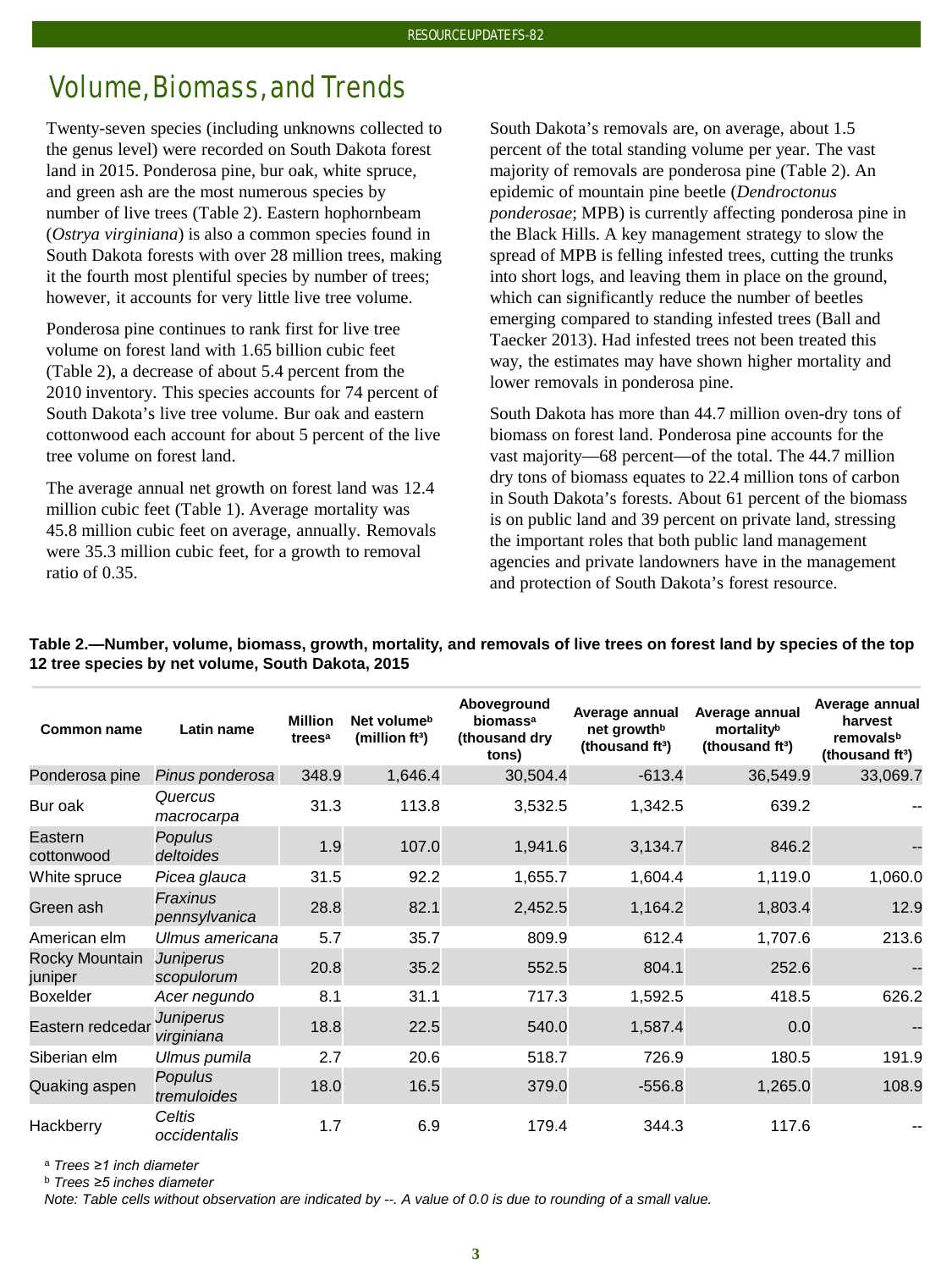# Volume, Biomass, and Trends

Twenty-seven species (including unknowns collected to the genus level) were recorded on South Dakota forest land in 2015. Ponderosa pine, bur oak*,* white spruce, and green ash are the most numerous species by number of live trees (Table 2). Eastern hophornbeam (*Ostrya virginiana*) is also a common species found in South Dakota forests with over 28 million trees, making it the fourth most plentiful species by number of trees; however, it accounts for very little live tree volume.

Ponderosa pine continues to rank first for live tree volume on forest land with 1.65 billion cubic feet (Table 2), a decrease of about 5.4 percent from the 2010 inventory. This species accounts for 74 percent of South Dakota's live tree volume. Bur oak and eastern cottonwood each account for about 5 percent of the live tree volume on forest land.

The average annual net growth on forest land was 12.4 million cubic feet (Table 1). Average mortality was 45.8 million cubic feet on average, annually. Removals were 35.3 million cubic feet, for a growth to removal ratio of 0.35.

South Dakota's removals are, on average, about 1.5 percent of the total standing volume per year. The vast majority of removals are ponderosa pine (Table 2). An epidemic of mountain pine beetle (*Dendroctonus ponderosae*; MPB) is currently affecting ponderosa pine in the Black Hills. A key management strategy to slow the spread of MPB is felling infested trees, cutting the trunks into short logs, and leaving them in place on the ground, which can significantly reduce the number of beetles emerging compared to standing infested trees (Ball and Taecker 2013). Had infested trees not been treated this way, the estimates may have shown higher mortality and lower removals in ponderosa pine.

South Dakota has more than 44.7 million oven-dry tons of biomass on forest land. Ponderosa pine accounts for the vast majority—68 percent—of the total. The 44.7 million dry tons of biomass equates to 22.4 million tons of carbon in South Dakota's forests. About 61 percent of the biomass is on public land and 39 percent on private land, stressing the important roles that both public land management agencies and private landowners have in the management and protection of South Dakota's forest resource.

**Table 2.—Number, volume, biomass, growth, mortality, and removals of live trees on forest land by species of the top 12 tree species by net volume, South Dakota, 2015**

| <b>Common name</b>        | Latin name                | <b>Million</b><br>trees <sup>a</sup> | Net volume <sup>b</sup><br>(million $ft3$ ) | Aboveground<br>biomass <sup>a</sup><br>(thousand dry<br>tons) | Average annual<br>net growth <sup>b</sup><br>(thousand ft <sup>3</sup> ) | Average annual<br>mortalityb<br>(thousand ft <sup>3</sup> ) | Average annual<br>harvest<br>removalsb<br>(thousand ft <sup>3</sup> ) |
|---------------------------|---------------------------|--------------------------------------|---------------------------------------------|---------------------------------------------------------------|--------------------------------------------------------------------------|-------------------------------------------------------------|-----------------------------------------------------------------------|
| Ponderosa pine            | Pinus ponderosa           | 348.9                                | 1,646.4                                     | 30,504.4                                                      | $-613.4$                                                                 | 36,549.9                                                    | 33,069.7                                                              |
| Bur oak                   | Quercus<br>macrocarpa     | 31.3                                 | 113.8                                       | 3,532.5                                                       | 1,342.5                                                                  | 639.2                                                       |                                                                       |
| Eastern<br>cottonwood     | Populus<br>deltoides      | 1.9                                  | 107.0                                       | 1,941.6                                                       | 3,134.7                                                                  | 846.2                                                       |                                                                       |
| White spruce              | Picea glauca              | 31.5                                 | 92.2                                        | 1,655.7                                                       | 1,604.4                                                                  | 1,119.0                                                     | 1,060.0                                                               |
| Green ash                 | Fraxinus<br>pennsylvanica | 28.8                                 | 82.1                                        | 2,452.5                                                       | 1,164.2                                                                  | 1,803.4                                                     | 12.9                                                                  |
| American elm              | Ulmus americana           | 5.7                                  | 35.7                                        | 809.9                                                         | 612.4                                                                    | 1,707.6                                                     | 213.6                                                                 |
| Rocky Mountain<br>juniper | Juniperus<br>scopulorum   | 20.8                                 | 35.2                                        | 552.5                                                         | 804.1                                                                    | 252.6                                                       |                                                                       |
| <b>Boxelder</b>           | Acer negundo              | 8.1                                  | 31.1                                        | 717.3                                                         | 1,592.5                                                                  | 418.5                                                       | 626.2                                                                 |
| Eastern redcedar          | Juniperus<br>virginiana   | 18.8                                 | 22.5                                        | 540.0                                                         | 1,587.4                                                                  | 0.0                                                         |                                                                       |
| Siberian elm              | Ulmus pumila              | 2.7                                  | 20.6                                        | 518.7                                                         | 726.9                                                                    | 180.5                                                       | 191.9                                                                 |
| Quaking aspen             | Populus<br>tremuloides    | 18.0                                 | 16.5                                        | 379.0                                                         | $-556.8$                                                                 | 1,265.0                                                     | 108.9                                                                 |
| Hackberry                 | Celtis<br>occidentalis    | 1.7                                  | 6.9                                         | 179.4                                                         | 344.3                                                                    | 117.6                                                       |                                                                       |

<sup>a</sup> *Trees ≥1 inch diameter*

<sup>b</sup> *Trees ≥5 inches diameter*

*Note: Table cells without observation are indicated by --. A value of 0.0 is due to rounding of a small value.*